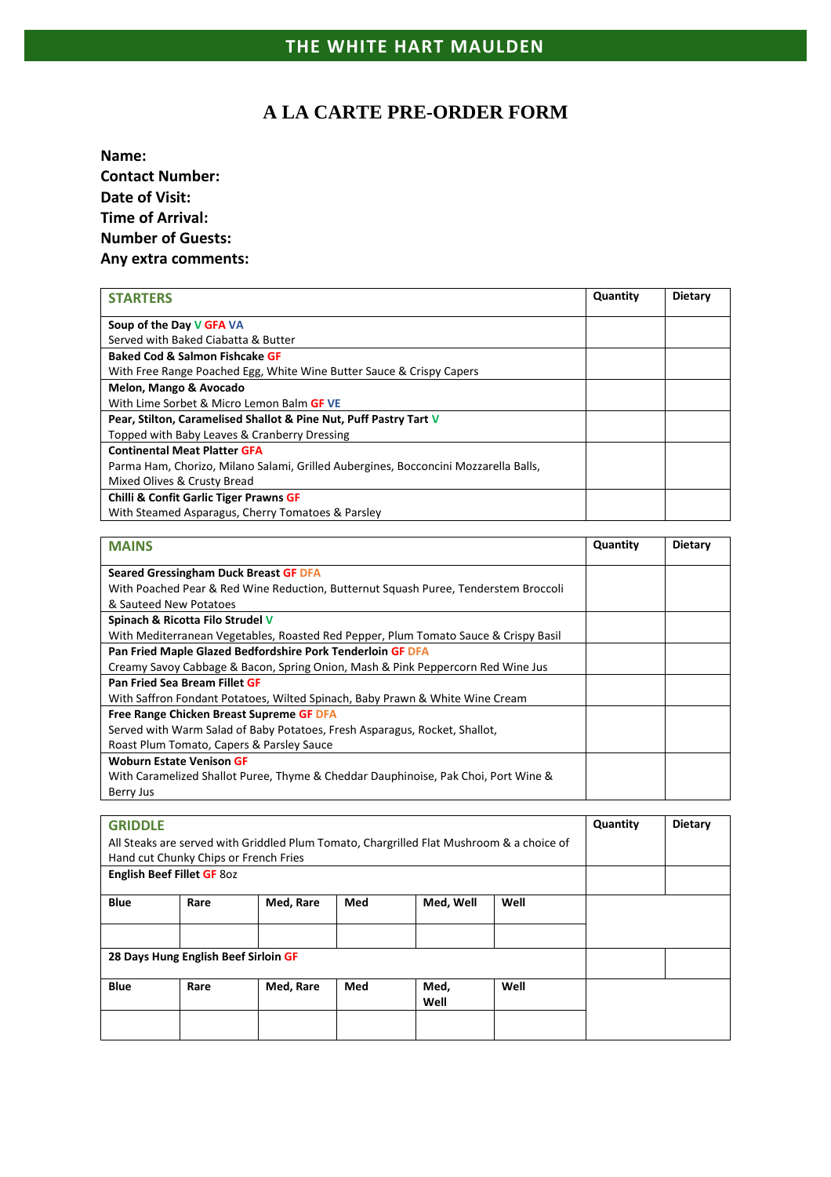## **A LA CARTE PRE-ORDER FORM**

**Name: Contact Number: Date of Visit: Time of Arrival: Number of Guests: Any extra comments:**

| <b>STARTERS</b>                                                                     | Quantity | <b>Dietary</b> |
|-------------------------------------------------------------------------------------|----------|----------------|
| Soup of the Day V GFA VA                                                            |          |                |
| Served with Baked Ciabatta & Butter                                                 |          |                |
| <b>Baked Cod &amp; Salmon Fishcake GF</b>                                           |          |                |
| With Free Range Poached Egg, White Wine Butter Sauce & Crispy Capers                |          |                |
| Melon, Mango & Avocado                                                              |          |                |
| With Lime Sorbet & Micro Lemon Balm GF VE                                           |          |                |
| Pear, Stilton, Caramelised Shallot & Pine Nut, Puff Pastry Tart V                   |          |                |
| Topped with Baby Leaves & Cranberry Dressing                                        |          |                |
| <b>Continental Meat Platter GFA</b>                                                 |          |                |
| Parma Ham, Chorizo, Milano Salami, Grilled Aubergines, Bocconcini Mozzarella Balls, |          |                |
| Mixed Olives & Crusty Bread                                                         |          |                |
| <b>Chilli &amp; Confit Garlic Tiger Prawns GF</b>                                   |          |                |
| With Steamed Asparagus, Cherry Tomatoes & Parsley                                   |          |                |

| <b>MAINS</b>                                                                        | Quantity | Dietary |
|-------------------------------------------------------------------------------------|----------|---------|
| Seared Gressingham Duck Breast GF DFA                                               |          |         |
| With Poached Pear & Red Wine Reduction, Butternut Squash Puree, Tenderstem Broccoli |          |         |
| & Sauteed New Potatoes                                                              |          |         |
| Spinach & Ricotta Filo Strudel V                                                    |          |         |
| With Mediterranean Vegetables, Roasted Red Pepper, Plum Tomato Sauce & Crispy Basil |          |         |
| Pan Fried Maple Glazed Bedfordshire Pork Tenderloin GF DFA                          |          |         |
| Creamy Savoy Cabbage & Bacon, Spring Onion, Mash & Pink Peppercorn Red Wine Jus     |          |         |
| Pan Fried Sea Bream Fillet GF                                                       |          |         |
| With Saffron Fondant Potatoes, Wilted Spinach, Baby Prawn & White Wine Cream        |          |         |
| Free Range Chicken Breast Supreme GF DFA                                            |          |         |
| Served with Warm Salad of Baby Potatoes, Fresh Asparagus, Rocket, Shallot,          |          |         |
| Roast Plum Tomato, Capers & Parsley Sauce                                           |          |         |
| <b>Woburn Estate Venison GF</b>                                                     |          |         |
| With Caramelized Shallot Puree, Thyme & Cheddar Dauphinoise, Pak Choi, Port Wine &  |          |         |
| Berry Jus                                                                           |          |         |

| <b>GRIDDLE</b>                                                                           |                                      |           |     |           |      | Quantity | <b>Dietary</b> |
|------------------------------------------------------------------------------------------|--------------------------------------|-----------|-----|-----------|------|----------|----------------|
| All Steaks are served with Griddled Plum Tomato, Chargrilled Flat Mushroom & a choice of |                                      |           |     |           |      |          |                |
| Hand cut Chunky Chips or French Fries                                                    |                                      |           |     |           |      |          |                |
| English Beef Fillet GF 80z                                                               |                                      |           |     |           |      |          |                |
| <b>Blue</b>                                                                              |                                      |           |     |           | Well |          |                |
|                                                                                          | Rare                                 | Med, Rare | Med | Med, Well |      |          |                |
|                                                                                          |                                      |           |     |           |      |          |                |
|                                                                                          |                                      |           |     |           |      |          |                |
|                                                                                          | 28 Days Hung English Beef Sirloin GF |           |     |           |      |          |                |
|                                                                                          |                                      |           |     |           |      |          |                |
| <b>Blue</b>                                                                              | Rare                                 | Med, Rare | Med | Med,      | Well |          |                |
|                                                                                          |                                      |           |     | Well      |      |          |                |
|                                                                                          |                                      |           |     |           |      |          |                |
|                                                                                          |                                      |           |     |           |      |          |                |